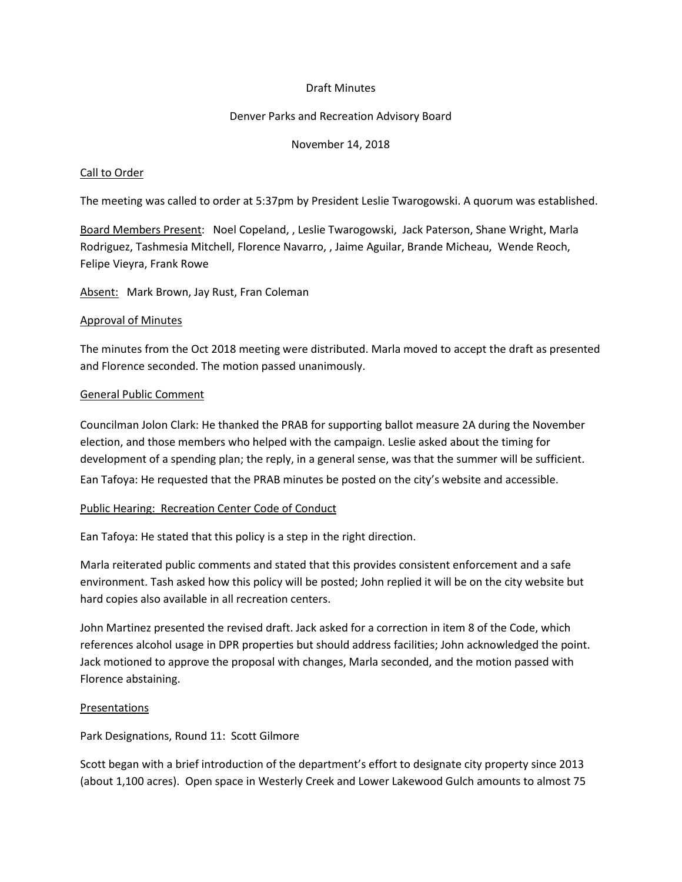# Draft Minutes

## Denver Parks and Recreation Advisory Board

## November 14, 2018

## Call to Order

The meeting was called to order at 5:37pm by President Leslie Twarogowski. A quorum was established.

Board Members Present: Noel Copeland, , Leslie Twarogowski, Jack Paterson, Shane Wright, Marla Rodriguez, Tashmesia Mitchell, Florence Navarro, , Jaime Aguilar, Brande Micheau, Wende Reoch, Felipe Vieyra, Frank Rowe

Absent: Mark Brown, Jay Rust, Fran Coleman

#### Approval of Minutes

The minutes from the Oct 2018 meeting were distributed. Marla moved to accept the draft as presented and Florence seconded. The motion passed unanimously.

## General Public Comment

Councilman Jolon Clark: He thanked the PRAB for supporting ballot measure 2A during the November election, and those members who helped with the campaign. Leslie asked about the timing for development of a spending plan; the reply, in a general sense, was that the summer will be sufficient. Ean Tafoya: He requested that the PRAB minutes be posted on the city's website and accessible.

# Public Hearing: Recreation Center Code of Conduct

Ean Tafoya: He stated that this policy is a step in the right direction.

Marla reiterated public comments and stated that this provides consistent enforcement and a safe environment. Tash asked how this policy will be posted; John replied it will be on the city website but hard copies also available in all recreation centers.

John Martinez presented the revised draft. Jack asked for a correction in item 8 of the Code, which references alcohol usage in DPR properties but should address facilities; John acknowledged the point. Jack motioned to approve the proposal with changes, Marla seconded, and the motion passed with Florence abstaining.

# Presentations

Park Designations, Round 11: Scott Gilmore

Scott began with a brief introduction of the department's effort to designate city property since 2013 (about 1,100 acres). Open space in Westerly Creek and Lower Lakewood Gulch amounts to almost 75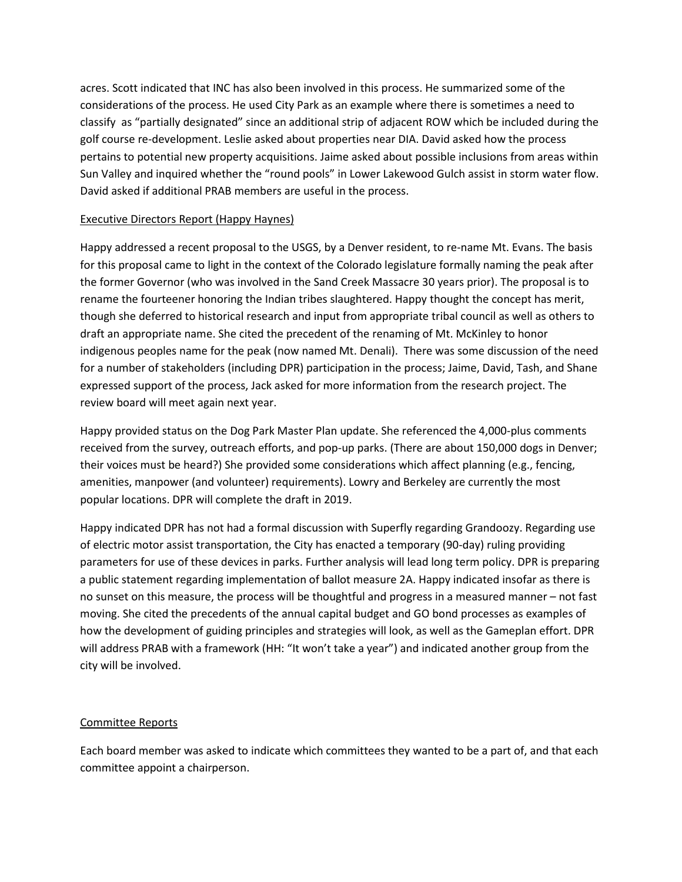acres. Scott indicated that INC has also been involved in this process. He summarized some of the considerations of the process. He used City Park as an example where there is sometimes a need to classify as "partially designated" since an additional strip of adjacent ROW which be included during the golf course re-development. Leslie asked about properties near DIA. David asked how the process pertains to potential new property acquisitions. Jaime asked about possible inclusions from areas within Sun Valley and inquired whether the "round pools" in Lower Lakewood Gulch assist in storm water flow. David asked if additional PRAB members are useful in the process.

# Executive Directors Report (Happy Haynes)

Happy addressed a recent proposal to the USGS, by a Denver resident, to re-name Mt. Evans. The basis for this proposal came to light in the context of the Colorado legislature formally naming the peak after the former Governor (who was involved in the Sand Creek Massacre 30 years prior). The proposal is to rename the fourteener honoring the Indian tribes slaughtered. Happy thought the concept has merit, though she deferred to historical research and input from appropriate tribal council as well as others to draft an appropriate name. She cited the precedent of the renaming of Mt. McKinley to honor indigenous peoples name for the peak (now named Mt. Denali). There was some discussion of the need for a number of stakeholders (including DPR) participation in the process; Jaime, David, Tash, and Shane expressed support of the process, Jack asked for more information from the research project. The review board will meet again next year.

Happy provided status on the Dog Park Master Plan update. She referenced the 4,000-plus comments received from the survey, outreach efforts, and pop-up parks. (There are about 150,000 dogs in Denver; their voices must be heard?) She provided some considerations which affect planning (e.g., fencing, amenities, manpower (and volunteer) requirements). Lowry and Berkeley are currently the most popular locations. DPR will complete the draft in 2019.

Happy indicated DPR has not had a formal discussion with Superfly regarding Grandoozy. Regarding use of electric motor assist transportation, the City has enacted a temporary (90-day) ruling providing parameters for use of these devices in parks. Further analysis will lead long term policy. DPR is preparing a public statement regarding implementation of ballot measure 2A. Happy indicated insofar as there is no sunset on this measure, the process will be thoughtful and progress in a measured manner – not fast moving. She cited the precedents of the annual capital budget and GO bond processes as examples of how the development of guiding principles and strategies will look, as well as the Gameplan effort. DPR will address PRAB with a framework (HH: "It won't take a year") and indicated another group from the city will be involved.

# Committee Reports

Each board member was asked to indicate which committees they wanted to be a part of, and that each committee appoint a chairperson.